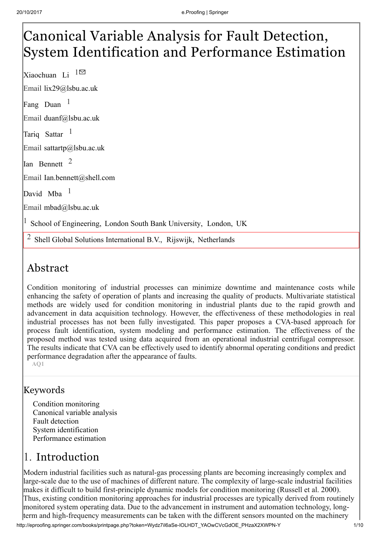# Canonical Variable Analysis for Fault Detection, System Identification and Performance Estimation

Xiaochuan Li Email lix29@lsbu.ac.uk Fang Duan  $1$  $1 \boxtimes$ 

Email duanf@lsbu.ac.uk

Tariq Sattar

Email sattartp@lsbu.ac.uk

1

Ian Bennett<sup>2</sup>

Email Ian.bennett@shell.com

David Mba<sup>1</sup>

Email mbad@lsbu.ac.uk

<sup>1</sup> School of Engineering, London South Bank University, London, UK

<sup>2</sup> Shell Global Solutions International B.V., Rijswijk, Netherlands

# Abstract

Condition monitoring of industrial processes can minimize downtime and maintenance costs while enhancing the safety of operation of plants and increasing the quality of products. Multivariate statistical methods are widely used for condition monitoring in industrial plants due to the rapid growth and advancement in data acquisition technology. However, the effectiveness of these methodologies in real industrial processes has not been fully investigated. This paper proposes a CVA-based approach for process fault identification, system modeling and performance estimation. The effectiveness of the proposed method was tested using data acquired from an operational industrial centrifugal compressor. The results indicate that CVA can be effectively used to identify abnormal operating conditions and predict performance degradation after the appearance of faults.

AQ1

## Keywords

Condition monitoring Canonical variable analysis Fault detection System identification Performance estimation

# 1. Introduction

Modern industrial facilities such as natural-gas processing plants are becoming increasingly complex and large-scale due to the use of machines of different nature. The complexity of large-scale industrial facilities makes it difficult to build first-principle dynamic models for condition monitoring (Russell et al. 2000). Thus, existing condition monitoring approaches for industrial processes are typically derived from routinely monitored system operating data. Due to the advancement in instrument and automation technology, longterm and high-frequency measurements can be taken with the different sensors mounted on the machinery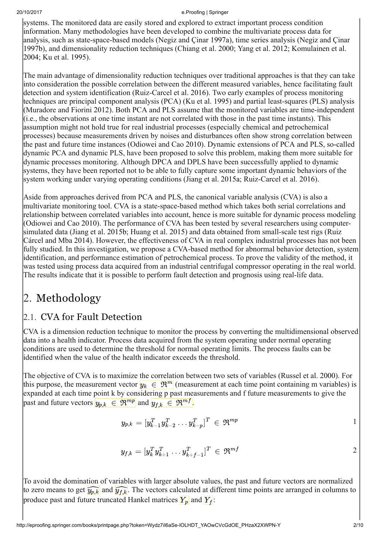systems. The monitored data are easily stored and explored to extract important process condition information. Many methodologies have been developed to combine the multivariate process data for analysis, such as state-space-based models (Negiz and Çinar 1997a), time series analysis (Negiz and Çinar 1997b), and dimensionality reduction techniques (Chiang et al. 2000; Yang et al. 2012; Komulainen et al. 2004; Ku et al. 1995).

The main advantage of dimensionality reduction techniques over traditional approaches is that they can take into consideration the possible correlation between the different measured variables, hence facilitating fault detection and system identification (Ruiz-Carcel et al. 2016). Two early examples of process monitoring techniques are principal component analysis (PCA) (Ku et al. 1995) and partial least-squares (PLS) analysis (Muradore and Fiorini 2012). Both PCA and PLS assume that the monitored variables are time-independent (i.e., the observations at one time instant are not correlated with those in the past time instants). This assumption might not hold true for real industrial processes (especially chemical and petrochemical processes) because measurements driven by noises and disturbances often show strong correlation between the past and future time instances (Odiowei and Cao 2010). Dynamic extensions of PCA and PLS, so-called dynamic PCA and dynamic PLS, have been proposed to solve this problem, making them more suitable for dynamic processes monitoring. Although DPCA and DPLS have been successfully applied to dynamic systems, they have been reported not to be able to fully capture some important dynamic behaviors of the system working under varying operating conditions (Jiang et al. 2015a; Ruiz-Carcel et al. 2016).

Aside from approaches derived from PCA and PLS, the canonical variable analysis (CVA) is also a multivariate monitoring tool. CVA is a state-space-based method which takes both serial correlations and relationship between correlated variables into account, hence is more suitable for dynamic process modeling (Odiowei and Cao 2010). The performance of CVA has been tested by several researchers using computersimulated data (Jiang et al. 2015b; Huang et al. 2015) and data obtained from small-scale test rigs (Ruiz Cárcel and Mba 2014). However, the effectiveness of CVA in real complex industrial processes has not been fully studied. In this investigation, we propose a CVA-based method for abnormal behavior detection, system identification, and performance estimation of petrochemical process. To prove the validity of the method, it was tested using process data acquired from an industrial centrifugal compressor operating in the real world. The results indicate that it is possible to perform fault detection and prognosis using real-life data.

# 2. Methodology

## 2.1. CVA for Fault Detection

CVA is a dimension reduction technique to monitor the process by converting the multidimensional observed data into a health indicator. Process data acquired from the system operating under normal operating conditions are used to determine the threshold for normal operating limits. The process faults can be identified when the value of the health indicator exceeds the threshold.

The objective of CVA is to maximize the correlation between two sets of variables (Russel et al. 2000). For this purpose, the measurement vector  $y_k \in \mathfrak{R}^m$  (measurement at each time point containing m variables) is expanded at each time point k by considering p past measurements and f future measurements to give the past and future vectors  $y_{p,k} \in \mathfrak{R}^{mp}$  and  $y_{f,k} \in \mathfrak{R}^{mf}$ .

$$
y_{p,k} = [y_{k-1}^T y_{k-2}^T \dots y_{k-p}^T]^T \in \mathfrak{R}^{mp} \qquad \qquad 1
$$

$$
y_{f,k} = [y_k^T y_{k+1}^T \dots y_{k+f-1}^T]^T \, \in \, \mathfrak{R}^{mf}
$$

To avoid the domination of variables with larger absolute values, the past and future vectors are normalized to zero means to get  $\widehat{y_{p,k}}$  and  $\widehat{y_{f,k}}$ . The vectors calculated at different time points are arranged in columns to produce past and future truncated Hankel matrices  $|Y_p|$  and  $|Y_f|$ :

2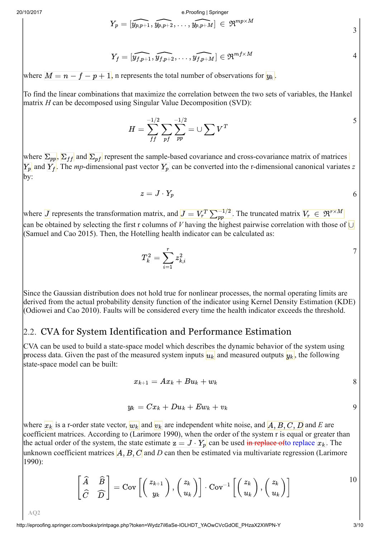$$
Y_p = [\widehat{y_{p,p+1}},\widehat{y_{p,p+2}},\ldots,\widehat{y_{p,p+M}}] \, \in \, \mathfrak{R}^{mp \times M}
$$

$$
Y_f = [\widehat{y_{f,p+1}}, \widehat{y_{f,p+2}}, \ldots, \widehat{y_{f,p+M}}] \in \mathfrak{R}^{mf \times M}
$$

where  $\boxed{M = n - f - p + 1}$ , n represents the total number of observations for  $y_k$ .

To find the linear combinations that maximize the correlation between the two sets of variables, the Hankel matrix *H* can be decomposed using Singular Value Decomposition (SVD):

$$
H = \sum_{ff}^{-1/2} \sum_{pf} \sum_{pp}^{-1/2} = \cup \sum V^T
$$

where  $\Sigma_{pp}$ ,  $\Sigma_{ff}$  and  $\Sigma_{pf}$  represent the sample-based covariance and cross-covariance matrix of matrices  $Y_p$  and  $Y_f$ . The *mp*-dimensional past vector  $Y_p$  can be converted into the r-dimensional canonical variates *z* by:

> 6  $z = J \cdot Y_p$

where  $J$  represents the transformation matrix, and  $J = V_r^T \sum_{pp}^{-1/2}$ . The truncated matrix  $V_r \in \mathfrak{R}^{r \times M}$ can be obtained by selecting the first r columns of *V* having the highest pairwise correlation with those of ∪(Samuel and Cao 2015). Then, the Hotelling health indicator can be calculated as:

$$
T_k^2=\sum_{i=1}^r z_{k,i}^2
$$

Since the Gaussian distribution does not hold true for nonlinear processes, the normal operating limits are derived from the actual probability density function of the indicator using Kernel Density Estimation (KDE) (Odiowei and Cao 2010). Faults will be considered every time the health indicator exceeds the threshold.

## 2.2. CVA for System Identification and Performance Estimation

CVA can be used to build a state-space model which describes the dynamic behavior of the system using process data. Given the past of the measured system inputs  $u_k$  and measured outputs  $y_k$ , the following state-space model can be built:

$$
x_{k+1}=Ax_k+Bu_k+w_k \hspace{2.5cm} 8
$$

$$
y_k = Cx_k + Du_k + Ew_k + v_k
$$

where  $x_k$  is a r-order state vector,  $w_k$  and  $v_k$  are independent white noise, and  $\overline{A, B, C, D}$  and E are coefficient matrices. According to (Larimore 1990), when the order of the system r is equal or greater than the actual order of the system, the state estimate  $z = J \cdot Y_p$  can be used in replace of to replace  $x_k$ . The unknown coefficient matrices  $\overline{A, B, C}$  and D can then be estimated via multivariate regression (Larimore 1990):

$$
\begin{bmatrix} \widehat{A} & \widehat{B} \\ \widehat{C} & \widehat{D} \end{bmatrix} = \text{Cov}\left[ \begin{pmatrix} z_{k+1} \\ y_k \end{pmatrix}, \begin{pmatrix} z_k \\ u_k \end{pmatrix} \right] \cdot \text{Cov}^{-1} \left[ \begin{pmatrix} z_k \\ u_k \end{pmatrix}, \begin{pmatrix} z_k \\ u_k \end{pmatrix} \right]
$$

AQ2

3

7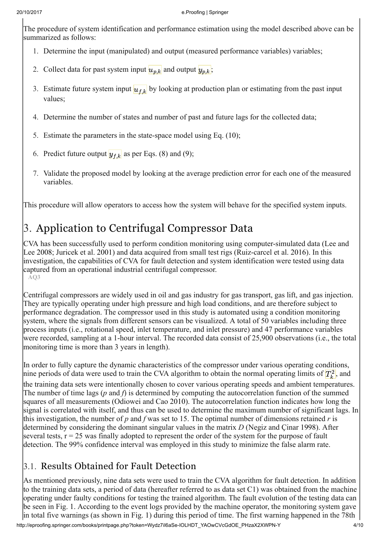The procedure of system identification and performance estimation using the model described above can be summarized as follows:

- 1. Determine the input (manipulated) and output (measured performance variables) variables;
- 2. Collect data for past system input  $u_{p,k}$  and output  $y_{p,k}$ ;
- 3. Estimate future system input  $u_{f,k}$  by looking at production plan or estimating from the past input values;
- 4. Determine the number of states and number of past and future lags for the collected data;
- 5. Estimate the parameters in the state-space model using Eq. (10);
- 6. Predict future output  $y_{f,k}$  as per Eqs. (8) and (9);
- 7. Validate the proposed model by looking at the average prediction error for each one of the measured variables.

This procedure will allow operators to access how the system will behave for the specified system inputs.

# 3. Application to Centrifugal Compressor Data

CVA has been successfully used to perform condition monitoring using computer-simulated data (Lee and Lee 2008; Juricek et al. 2001) and data acquired from small test rigs (Ruiz-carcel et al. 2016). In this investigation, the capabilities of CVA for fault detection and system identification were tested using data captured from an operational industrial centrifugal compressor. AQ3

Centrifugal compressors are widely used in oil and gas industry for gas transport, gas lift, and gas injection. They are typically operating under high pressure and high load conditions, and are therefore subject to performance degradation. The compressor used in this study is automated using a condition monitoring system, where the signals from different sensors can be visualized. A total of 50 variables including three process inputs (i.e., rotational speed, inlet temperature, and inlet pressure) and 47 performance variables were recorded, sampling at a 1-hour interval. The recorded data consist of 25,900 observations (i.e., the total monitoring time is more than 3 years in length).

In order to fully capture the dynamic characteristics of the compressor under various operating conditions, nine periods of data were used to train the CVA algorithm to obtain the normal operating limits of  $T_k^2$ , and the training data sets were intentionally chosen to cover various operating speeds and ambient temperatures. The number of time lags (*p* and *f*) is determined by computing the autocorrelation function of the summed squares of all measurements (Odiowei and Cao 2010). The autocorrelation function indicates how long the signal is correlated with itself, and thus can be used to determine the maximum number of significant lags. In this investigation, the number of *p* and *f* was set to 15. The optimal number of dimensions retained *r* is determined by considering the dominant singular values in the matrix *D* (Negiz and Çinar 1998). After several tests,  $r = 25$  was finally adopted to represent the order of the system for the purpose of fault detection. The 99% confidence interval was employed in this study to minimize the false alarm rate.

## 3.1. Results Obtained for Fault Detection

As mentioned previously, nine data sets were used to train the CVA algorithm for fault detection. In addition to the training data sets, a period of data (hereafter referred to as data set C1) was obtained from the machine operating under faulty conditions for testing the trained algorithm. The fault evolution of the testing data can be seen in Fig. 1. According to the event logs provided by the machine operator, the monitoring system gave in total five warnings (as shown in Fig. 1) during this period of time. The first warning happened in the 78th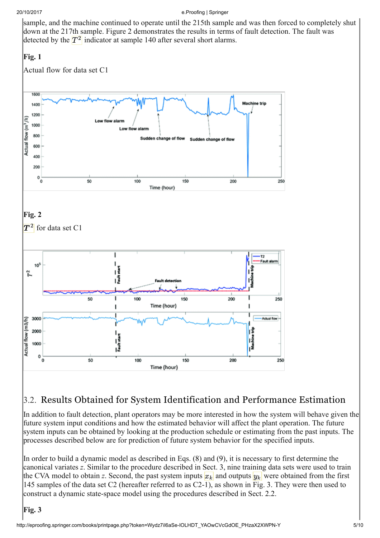sample, and the machine continued to operate until the 215th sample and was then forced to completely shut down at the 217th sample. Figure 2 demonstrates the results in terms of fault detection. The fault was detected by the  $\boxed{T^2}$  indicator at sample 140 after several short alarms.

## Fig. 1



## 3.2. Results Obtained for System Identification and Performance Estimation

In addition to fault detection, plant operators may be more interested in how the system will behave given the future system input conditions and how the estimated behavior will affect the plant operation. The future system inputs can be obtained by looking at the production schedule or estimating from the past inputs. The processes described below are for prediction of future system behavior for the specified inputs.

In order to build a dynamic model as described in Eqs. (8) and (9), it is necessary to first determine the canonical variates *z*. Similar to the procedure described in Sect. 3, nine training data sets were used to train the CVA model to obtain *z*. Second, the past system inputs  $x_k$  and outputs  $y_k$  were obtained from the first 145 samples of the data set C2 (hereafter referred to as C2-1), as shown in Fig. 3. They were then used to construct a dynamic state-space model using the procedures described in Sect. 2.2.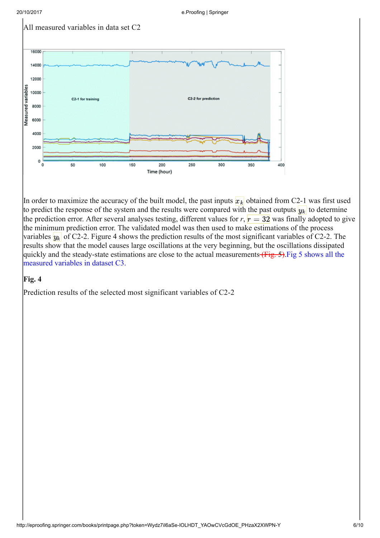



In order to maximize the accuracy of the built model, the past inputs  $x_k$  obtained from C2-1 was first used to predict the response of the system and the results were compared with the past outputs  $y_k$  to determine the prediction error. After several analyses testing, different values for  $r, r = 32$  was finally adopted to give the minimum prediction error. The validated model was then used to make estimations of the process variables  $y_k$  of C2-2. Figure 4 shows the prediction results of the most significant variables of C2-2. The results show that the model causes large oscillations at the very beginning, but the oscillations dissipated quickly and the steady-state estimations are close to the actual measurements (Fig. 5). Fig 5 shows all the measured variables in dataset C3.

#### Fig. 4

Prediction results of the selected most significant variables of C2-2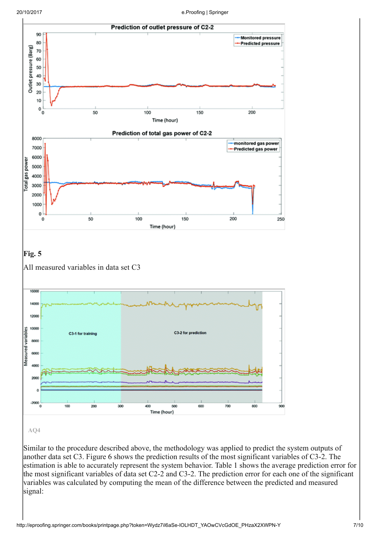

Similar to the procedure described above, the methodology was applied to predict the system outputs of another data set C3. Figure 6 shows the prediction results of the most significant variables of C3-2. The estimation is able to accurately represent the system behavior. Table 1 shows the average prediction error for the most significant variables of data set C2-2 and C3-2. The prediction error for each one of the significant variables was calculated by computing the mean of the difference between the predicted and measured signal: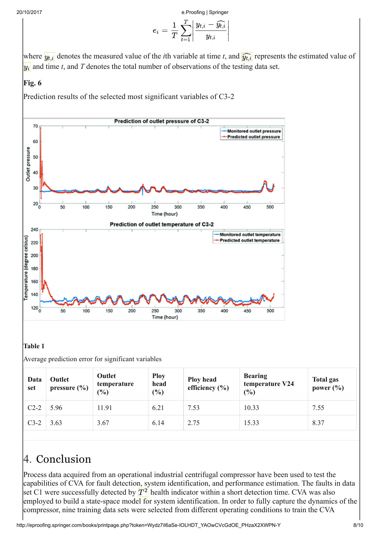$$
e_i = \frac{1}{T}\sum_{t=1}^T \left|\frac{y_{t,i} - \widehat{y_{t,i}}}{y_{t,i}}\right|
$$

where  $y_{t,i}$  denotes the measured value of the *i*th variable at time *t*, and  $\widehat{y_{t,i}}$  represents the estimated value of  $y_i$  and time *t*, and *T* denotes the total number of observations of the testing data set.

### Fig. 6

Prediction results of the selected most significant variables of C3-2



#### Table 1

Average prediction error for significant variables

| Data<br>set | Outlet<br>pressure $(\% )$ | Outlet<br>temperature<br>$\frac{6}{6}$ | <b>Ploy</b><br>head<br>$(\%)$ | <b>Ploy head</b><br>efficiency $(\% )$ | <b>Bearing</b><br>temperature V24<br>(%) | <b>Total gas</b><br>power $(\% )$ |
|-------------|----------------------------|----------------------------------------|-------------------------------|----------------------------------------|------------------------------------------|-----------------------------------|
| $C2-2$      | 5.96                       | 11.91                                  | 6.21                          | 7.53                                   | 10.33                                    | 7.55                              |
| $C3-2$      | 3.63                       | 3.67                                   | 6.14                          | 2.75                                   | 15.33                                    | 8.37                              |

# 4. Conclusion

Process data acquired from an operational industrial centrifugal compressor have been used to test the capabilities of CVA for fault detection, system identification, and performance estimation. The faults in data set C1 were successfully detected by  $\boxed{T^2}$  health indicator within a short detection time. CVA was also employed to build a state-space model for system identification. In order to fully capture the dynamics of the compressor, nine training data sets were selected from different operating conditions to train the CVA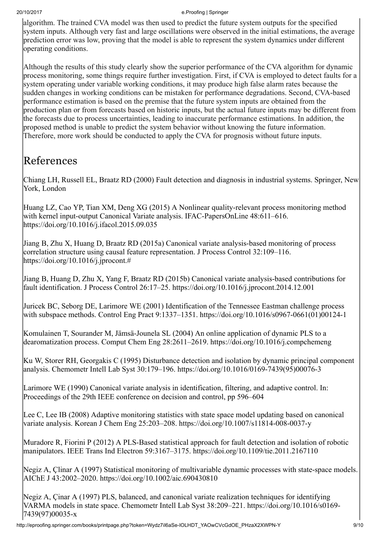algorithm. The trained CVA model was then used to predict the future system outputs for the specified system inputs. Although very fast and large oscillations were observed in the initial estimations, the average prediction error was low, proving that the model is able to represent the system dynamics under different operating conditions.

Although the results of this study clearly show the superior performance of the CVA algorithm for dynamic process monitoring, some things require further investigation. First, if CVA is employed to detect faults for a system operating under variable working conditions, it may produce high false alarm rates because the sudden changes in working conditions can be mistaken for performance degradations. Second, CVA-based performance estimation is based on the premise that the future system inputs are obtained from the production plan or from forecasts based on historic inputs, but the actual future inputs may be different from the forecasts due to process uncertainties, leading to inaccurate performance estimations. In addition, the proposed method is unable to predict the system behavior without knowing the future information. Therefore, more work should be conducted to apply the CVA for prognosis without future inputs.

## References

Chiang LH, Russell EL, Braatz RD (2000) Fault detection and diagnosis in industrial systems. Springer, New York, London

Huang LZ, Cao YP, Tian XM, Deng XG (2015) A Nonlinear quality-relevant process monitoring method with kernel input-output Canonical Variate analysis. IFAC-PapersOnLine 48:611–616. https://doi.org/10.1016/j.ifacol.2015.09.035

Jiang B, Zhu X, Huang D, Braatz RD (2015a) Canonical variate analysis-based monitoring of process correlation structure using causal feature representation. J Process Control 32:109–116. https://doi.org/10.1016/j.jprocont.#

Jiang B, Huang D, Zhu X, Yang F, Braatz RD (2015b) Canonical variate analysis-based contributions for fault identification. J Process Control 26:17–25. https://doi.org/10.1016/j.jprocont.2014.12.001

Juricek BC, Seborg DE, Larimore WE (2001) Identification of the Tennessee Eastman challenge process with subspace methods. Control Eng Pract 9:1337–1351. https://doi.org/10.1016/s0967-0661(01)00124-1

Komulainen T, Sourander M, Jämsä-Jounela SL (2004) An online application of dynamic PLS to a dearomatization process. Comput Chem Eng 28:2611–2619. https://doi.org/10.1016/j.compchemeng

Ku W, Storer RH, Georgakis C (1995) Disturbance detection and isolation by dynamic principal component analysis. Chemometr Intell Lab Syst 30:179–196. https://doi.org/10.1016/0169-7439(95)00076-3

Larimore WE (1990) Canonical variate analysis in identification, filtering, and adaptive control. In: Proceedings of the 29th IEEE conference on decision and control, pp 596–604

Lee C, Lee IB (2008) Adaptive monitoring statistics with state space model updating based on canonical variate analysis. Korean J Chem Eng 25:203–208. https://doi.org/10.1007/s11814-008-0037-y

Muradore R, Fiorini P (2012) A PLS-Based statistical approach for fault detection and isolation of robotic manipulators. IEEE Trans Ind Electron 59:3167–3175. https://doi.org/10.1109/tie.2011.2167110

Negiz A, Çlinar A (1997) Statistical monitoring of multivariable dynamic processes with state-space models. AIChE J 43:2002–2020. https://doi.org/10.1002/aic.690430810

Negiz A, Çinar A (1997) PLS, balanced, and canonical variate realization techniques for identifying VARMA models in state space. Chemometr Intell Lab Syst 38:209–221. https://doi.org/10.1016/s0169- 7439(97)00035-x